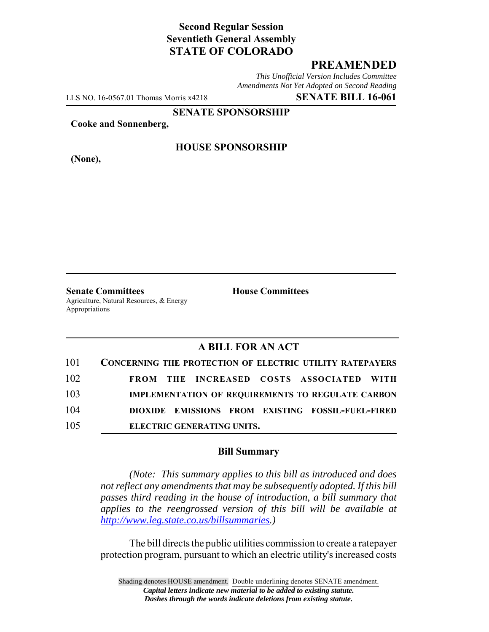# **Second Regular Session Seventieth General Assembly STATE OF COLORADO**

## **PREAMENDED**

*This Unofficial Version Includes Committee Amendments Not Yet Adopted on Second Reading*

LLS NO. 16-0567.01 Thomas Morris x4218 **SENATE BILL 16-061**

**SENATE SPONSORSHIP**

**Cooke and Sonnenberg,**

**(None),**

#### **HOUSE SPONSORSHIP**

**Senate Committees House Committees** Agriculture, Natural Resources, & Energy Appropriations

### **A BILL FOR AN ACT**

| 101 | <b>CONCERNING THE PROTECTION OF ELECTRIC UTILITY RATEPAYERS</b> |
|-----|-----------------------------------------------------------------|
| 102 | FROM THE INCREASED COSTS ASSOCIATED WITH                        |
| 103 | <b>IMPLEMENTATION OF REQUIREMENTS TO REGULATE CARBON</b>        |
| 104 | DIOXIDE EMISSIONS FROM EXISTING FOSSIL-FUEL-FIRED               |
| 105 | ELECTRIC GENERATING UNITS.                                      |

#### **Bill Summary**

*(Note: This summary applies to this bill as introduced and does not reflect any amendments that may be subsequently adopted. If this bill passes third reading in the house of introduction, a bill summary that applies to the reengrossed version of this bill will be available at http://www.leg.state.co.us/billsummaries.)*

The bill directs the public utilities commission to create a ratepayer protection program, pursuant to which an electric utility's increased costs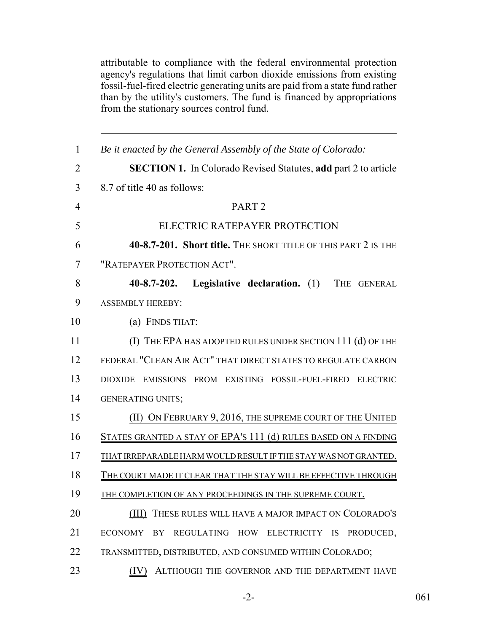attributable to compliance with the federal environmental protection agency's regulations that limit carbon dioxide emissions from existing fossil-fuel-fired electric generating units are paid from a state fund rather than by the utility's customers. The fund is financed by appropriations from the stationary sources control fund.

| $\mathbf{1}$   | Be it enacted by the General Assembly of the State of Colorado:       |
|----------------|-----------------------------------------------------------------------|
| $\overline{2}$ | <b>SECTION 1.</b> In Colorado Revised Statutes, add part 2 to article |
| 3              | 8.7 of title 40 as follows:                                           |
| $\overline{4}$ | PART <sub>2</sub>                                                     |
| 5              | ELECTRIC RATEPAYER PROTECTION                                         |
| 6              | 40-8.7-201. Short title. THE SHORT TITLE OF THIS PART 2 IS THE        |
| 7              | "RATEPAYER PROTECTION ACT".                                           |
| 8              | $40 - 8.7 - 202.$<br>Legislative declaration. (1) THE GENERAL         |
| 9              | <b>ASSEMBLY HEREBY:</b>                                               |
| 10             | (a) FINDS THAT:                                                       |
| 11             | (I) THE EPA HAS ADOPTED RULES UNDER SECTION 111 (d) OF THE            |
| 12             | FEDERAL "CLEAN AIR ACT" THAT DIRECT STATES TO REGULATE CARBON         |
| 13             | DIOXIDE EMISSIONS FROM EXISTING FOSSIL-FUEL-FIRED ELECTRIC            |
| 14             | <b>GENERATING UNITS;</b>                                              |
| 15             | (II) ON FEBRUARY 9, 2016, THE SUPREME COURT OF THE UNITED             |
| 16             | STATES GRANTED A STAY OF EPA'S 111 (d) RULES BASED ON A FINDING       |
| 17             | THAT IRREPARABLE HARM WOULD RESULT IF THE STAY WAS NOT GRANTED.       |
| 18             | THE COURT MADE IT CLEAR THAT THE STAY WILL BE EFFECTIVE THROUGH       |
| 19             | THE COMPLETION OF ANY PROCEEDINGS IN THE SUPREME COURT.               |
| 20             | (III) THESE RULES WILL HAVE A MAJOR IMPACT ON COLORADO'S              |
| 21             | <b>ECONOMY</b><br>REGULATING HOW ELECTRICITY IS<br>PRODUCED,<br>BY    |
| 22             | TRANSMITTED, DISTRIBUTED, AND CONSUMED WITHIN COLORADO;               |
| 23             | ALTHOUGH THE GOVERNOR AND THE DEPARTMENT HAVE<br>(IV)                 |

-2- 061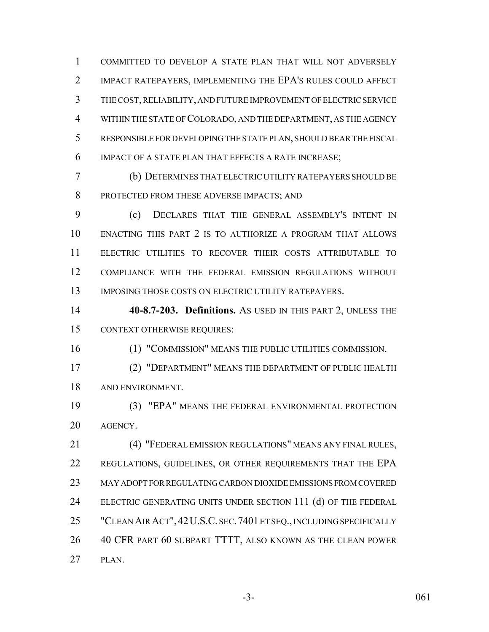COMMITTED TO DEVELOP A STATE PLAN THAT WILL NOT ADVERSELY IMPACT RATEPAYERS, IMPLEMENTING THE EPA'S RULES COULD AFFECT THE COST, RELIABILITY, AND FUTURE IMPROVEMENT OF ELECTRIC SERVICE WITHIN THE STATE OF COLORADO, AND THE DEPARTMENT, AS THE AGENCY RESPONSIBLE FOR DEVELOPING THE STATE PLAN, SHOULD BEAR THE FISCAL IMPACT OF A STATE PLAN THAT EFFECTS A RATE INCREASE;

 (b) DETERMINES THAT ELECTRIC UTILITY RATEPAYERS SHOULD BE PROTECTED FROM THESE ADVERSE IMPACTS; AND

 (c) DECLARES THAT THE GENERAL ASSEMBLY'S INTENT IN ENACTING THIS PART 2 IS TO AUTHORIZE A PROGRAM THAT ALLOWS ELECTRIC UTILITIES TO RECOVER THEIR COSTS ATTRIBUTABLE TO COMPLIANCE WITH THE FEDERAL EMISSION REGULATIONS WITHOUT 13 IMPOSING THOSE COSTS ON ELECTRIC UTILITY RATEPAYERS.

 **40-8.7-203. Definitions.** AS USED IN THIS PART 2, UNLESS THE CONTEXT OTHERWISE REQUIRES:

(1) "COMMISSION" MEANS THE PUBLIC UTILITIES COMMISSION.

 (2) "DEPARTMENT" MEANS THE DEPARTMENT OF PUBLIC HEALTH AND ENVIRONMENT.

 (3) "EPA" MEANS THE FEDERAL ENVIRONMENTAL PROTECTION AGENCY.

 (4) "FEDERAL EMISSION REGULATIONS" MEANS ANY FINAL RULES, 22 REGULATIONS, GUIDELINES, OR OTHER REQUIREMENTS THAT THE EPA MAY ADOPT FOR REGULATING CARBON DIOXIDE EMISSIONS FROM COVERED 24 ELECTRIC GENERATING UNITS UNDER SECTION 111 (d) OF THE FEDERAL "CLEAN AIR ACT", 42U.S.C. SEC.7401 ET SEQ., INCLUDING SPECIFICALLY 40 CFR PART 60 SUBPART TTTT, ALSO KNOWN AS THE CLEAN POWER PLAN.

-3- 061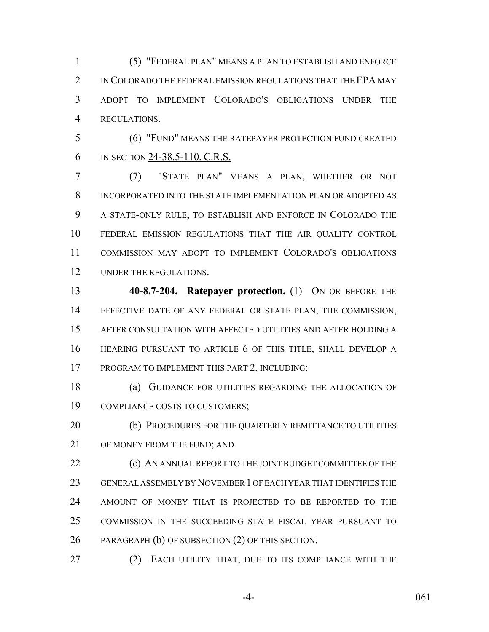(5) "FEDERAL PLAN" MEANS A PLAN TO ESTABLISH AND ENFORCE 2 IN COLORADO THE FEDERAL EMISSION REGULATIONS THAT THE EPA MAY ADOPT TO IMPLEMENT COLORADO'S OBLIGATIONS UNDER THE REGULATIONS.

 (6) "FUND" MEANS THE RATEPAYER PROTECTION FUND CREATED IN SECTION 24-38.5-110, C.R.S.

 (7) "STATE PLAN" MEANS A PLAN, WHETHER OR NOT INCORPORATED INTO THE STATE IMPLEMENTATION PLAN OR ADOPTED AS A STATE-ONLY RULE, TO ESTABLISH AND ENFORCE IN COLORADO THE FEDERAL EMISSION REGULATIONS THAT THE AIR QUALITY CONTROL COMMISSION MAY ADOPT TO IMPLEMENT COLORADO'S OBLIGATIONS UNDER THE REGULATIONS.

 **40-8.7-204. Ratepayer protection.** (1) ON OR BEFORE THE EFFECTIVE DATE OF ANY FEDERAL OR STATE PLAN, THE COMMISSION, AFTER CONSULTATION WITH AFFECTED UTILITIES AND AFTER HOLDING A HEARING PURSUANT TO ARTICLE 6 OF THIS TITLE, SHALL DEVELOP A PROGRAM TO IMPLEMENT THIS PART 2, INCLUDING:

 (a) GUIDANCE FOR UTILITIES REGARDING THE ALLOCATION OF COMPLIANCE COSTS TO CUSTOMERS;

20 (b) PROCEDURES FOR THE QUARTERLY REMITTANCE TO UTILITIES OF MONEY FROM THE FUND; AND

**(c) AN ANNUAL REPORT TO THE JOINT BUDGET COMMITTEE OF THE**  GENERAL ASSEMBLY BY NOVEMBER 1 OF EACH YEAR THAT IDENTIFIES THE AMOUNT OF MONEY THAT IS PROJECTED TO BE REPORTED TO THE COMMISSION IN THE SUCCEEDING STATE FISCAL YEAR PURSUANT TO PARAGRAPH (b) OF SUBSECTION (2) OF THIS SECTION.

27 (2) EACH UTILITY THAT, DUE TO ITS COMPLIANCE WITH THE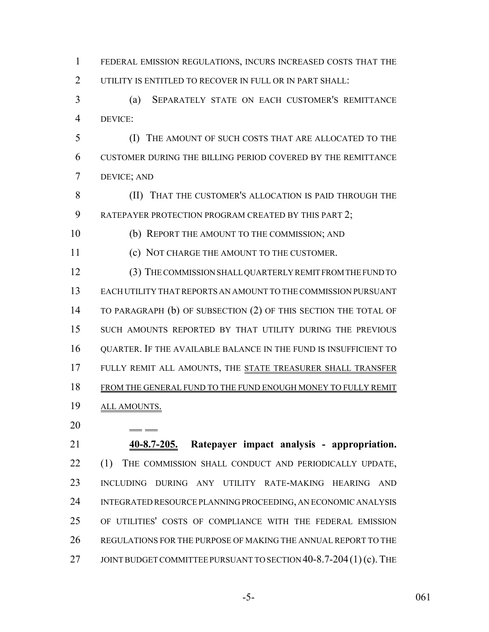FEDERAL EMISSION REGULATIONS, INCURS INCREASED COSTS THAT THE UTILITY IS ENTITLED TO RECOVER IN FULL OR IN PART SHALL:

 (a) SEPARATELY STATE ON EACH CUSTOMER'S REMITTANCE DEVICE:

 (I) THE AMOUNT OF SUCH COSTS THAT ARE ALLOCATED TO THE CUSTOMER DURING THE BILLING PERIOD COVERED BY THE REMITTANCE DEVICE; AND

 (II) THAT THE CUSTOMER'S ALLOCATION IS PAID THROUGH THE 9 RATEPAYER PROTECTION PROGRAM CREATED BY THIS PART 2;

(b) REPORT THE AMOUNT TO THE COMMISSION; AND

(c) NOT CHARGE THE AMOUNT TO THE CUSTOMER.

 (3) THE COMMISSION SHALL QUARTERLY REMIT FROM THE FUND TO EACH UTILITY THAT REPORTS AN AMOUNT TO THE COMMISSION PURSUANT TO PARAGRAPH (b) OF SUBSECTION (2) OF THIS SECTION THE TOTAL OF SUCH AMOUNTS REPORTED BY THAT UTILITY DURING THE PREVIOUS QUARTER. IF THE AVAILABLE BALANCE IN THE FUND IS INSUFFICIENT TO 17 FULLY REMIT ALL AMOUNTS, THE STATE TREASURER SHALL TRANSFER FROM THE GENERAL FUND TO THE FUND ENOUGH MONEY TO FULLY REMIT ALL AMOUNTS.

 **40-8.7-205. Ratepayer impact analysis - appropriation.** (1) THE COMMISSION SHALL CONDUCT AND PERIODICALLY UPDATE, INCLUDING DURING ANY UTILITY RATE-MAKING HEARING AND INTEGRATED RESOURCE PLANNING PROCEEDING, AN ECONOMIC ANALYSIS OF UTILITIES' COSTS OF COMPLIANCE WITH THE FEDERAL EMISSION REGULATIONS FOR THE PURPOSE OF MAKING THE ANNUAL REPORT TO THE 27 JOINT BUDGET COMMITTEE PURSUANT TO SECTION 40-8.7-204(1) (c). THE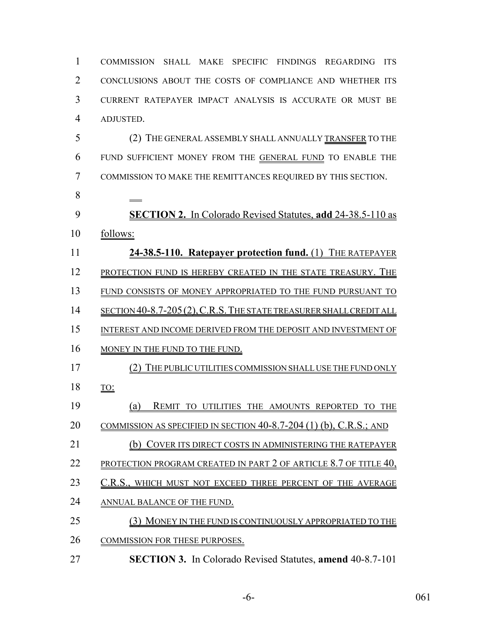COMMISSION SHALL MAKE SPECIFIC FINDINGS REGARDING ITS CONCLUSIONS ABOUT THE COSTS OF COMPLIANCE AND WHETHER ITS CURRENT RATEPAYER IMPACT ANALYSIS IS ACCURATE OR MUST BE ADJUSTED. (2) THE GENERAL ASSEMBLY SHALL ANNUALLY TRANSFER TO THE FUND SUFFICIENT MONEY FROM THE GENERAL FUND TO ENABLE THE COMMISSION TO MAKE THE REMITTANCES REQUIRED BY THIS SECTION. **SECTION 2.** In Colorado Revised Statutes, **add** 24-38.5-110 as follows: **24-38.5-110. Ratepayer protection fund.** (1) THE RATEPAYER 12 PROTECTION FUND IS HEREBY CREATED IN THE STATE TREASURY. THE FUND CONSISTS OF MONEY APPROPRIATED TO THE FUND PURSUANT TO 14 SECTION 40-8.7-205 (2), C.R.S. THE STATE TREASURER SHALL CREDIT ALL 15 INTEREST AND INCOME DERIVED FROM THE DEPOSIT AND INVESTMENT OF 16 MONEY IN THE FUND TO THE FUND. (2) THE PUBLIC UTILITIES COMMISSION SHALL USE THE FUND ONLY TO: (a) REMIT TO UTILITIES THE AMOUNTS REPORTED TO THE COMMISSION AS SPECIFIED IN SECTION 40-8.7-204 (1) (b), C.R.S.; AND (b) COVER ITS DIRECT COSTS IN ADMINISTERING THE RATEPAYER 22 PROTECTION PROGRAM CREATED IN PART 2 OF ARTICLE 8.7 OF TITLE 40, 23 C.R.S., WHICH MUST NOT EXCEED THREE PERCENT OF THE AVERAGE ANNUAL BALANCE OF THE FUND. (3) MONEY IN THE FUND IS CONTINUOUSLY APPROPRIATED TO THE 26 COMMISSION FOR THESE PURPOSES. **SECTION 3.** In Colorado Revised Statutes, **amend** 40-8.7-101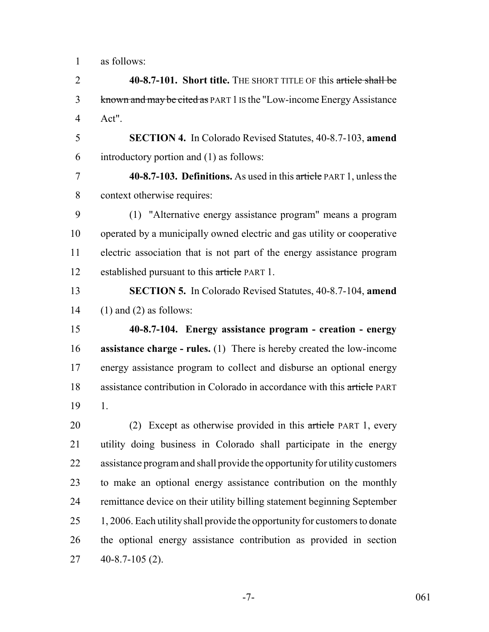as follows:

 **40-8.7-101. Short title.** THE SHORT TITLE OF this article shall be known and may be cited as PART 1 IS the "Low-income Energy Assistance Act".

 **SECTION 4.** In Colorado Revised Statutes, 40-8.7-103, **amend** introductory portion and (1) as follows:

 **40-8.7-103. Definitions.** As used in this article PART 1, unless the context otherwise requires:

 (1) "Alternative energy assistance program" means a program operated by a municipally owned electric and gas utility or cooperative electric association that is not part of the energy assistance program 12 established pursuant to this article PART 1.

 **SECTION 5.** In Colorado Revised Statutes, 40-8.7-104, **amend** 14 (1) and (2) as follows:

 **40-8.7-104. Energy assistance program - creation - energy assistance charge - rules.** (1) There is hereby created the low-income energy assistance program to collect and disburse an optional energy 18 assistance contribution in Colorado in accordance with this article PART 1.

20 (2) Except as otherwise provided in this article PART 1, every utility doing business in Colorado shall participate in the energy assistance program and shall provide the opportunity for utility customers to make an optional energy assistance contribution on the monthly remittance device on their utility billing statement beginning September 25 1, 2006. Each utility shall provide the opportunity for customers to donate the optional energy assistance contribution as provided in section 40-8.7-105 (2).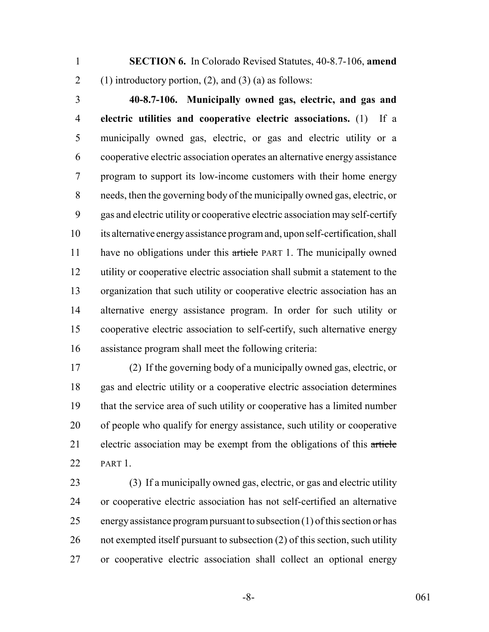**SECTION 6.** In Colorado Revised Statutes, 40-8.7-106, **amend** 2 (1) introductory portion, (2), and (3) (a) as follows:

 **40-8.7-106. Municipally owned gas, electric, and gas and electric utilities and cooperative electric associations.** (1) If a municipally owned gas, electric, or gas and electric utility or a cooperative electric association operates an alternative energy assistance program to support its low-income customers with their home energy needs, then the governing body of the municipally owned gas, electric, or gas and electric utility or cooperative electric association may self-certify its alternative energy assistance program and, upon self-certification, shall 11 have no obligations under this article PART 1. The municipally owned utility or cooperative electric association shall submit a statement to the organization that such utility or cooperative electric association has an alternative energy assistance program. In order for such utility or cooperative electric association to self-certify, such alternative energy assistance program shall meet the following criteria:

 (2) If the governing body of a municipally owned gas, electric, or gas and electric utility or a cooperative electric association determines that the service area of such utility or cooperative has a limited number of people who qualify for energy assistance, such utility or cooperative 21 electric association may be exempt from the obligations of this article PART 1.

 (3) If a municipally owned gas, electric, or gas and electric utility or cooperative electric association has not self-certified an alternative energy assistance program pursuant to subsection (1) of this section or has not exempted itself pursuant to subsection (2) of this section, such utility or cooperative electric association shall collect an optional energy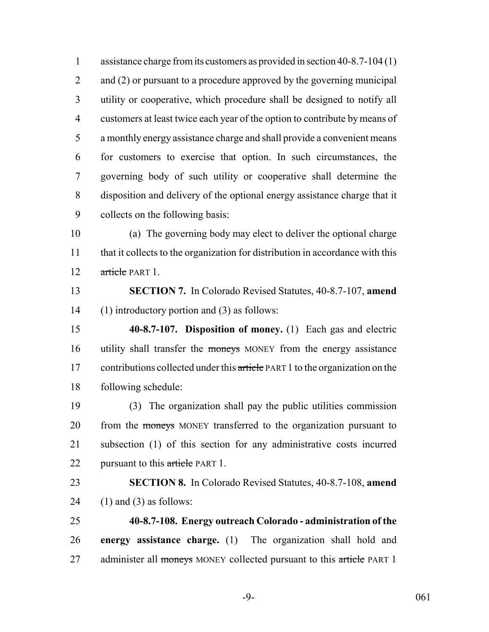1 assistance charge from its customers as provided in section 40-8.7-104 (1) 2 and (2) or pursuant to a procedure approved by the governing municipal utility or cooperative, which procedure shall be designed to notify all customers at least twice each year of the option to contribute by means of a monthly energy assistance charge and shall provide a convenient means for customers to exercise that option. In such circumstances, the governing body of such utility or cooperative shall determine the disposition and delivery of the optional energy assistance charge that it collects on the following basis:

 (a) The governing body may elect to deliver the optional charge 11 that it collects to the organization for distribution in accordance with this 12 article PART 1.

 **SECTION 7.** In Colorado Revised Statutes, 40-8.7-107, **amend** (1) introductory portion and (3) as follows:

 **40-8.7-107. Disposition of money.** (1) Each gas and electric 16 utility shall transfer the moneys MONEY from the energy assistance 17 contributions collected under this article PART 1 to the organization on the following schedule:

 (3) The organization shall pay the public utilities commission 20 from the moneys MONEY transferred to the organization pursuant to subsection (1) of this section for any administrative costs incurred 22 pursuant to this article PART 1.

 **SECTION 8.** In Colorado Revised Statutes, 40-8.7-108, **amend** 24 (1) and (3) as follows:

 **40-8.7-108. Energy outreach Colorado - administration of the energy assistance charge.** (1) The organization shall hold and 27 administer all moneys MONEY collected pursuant to this article PART 1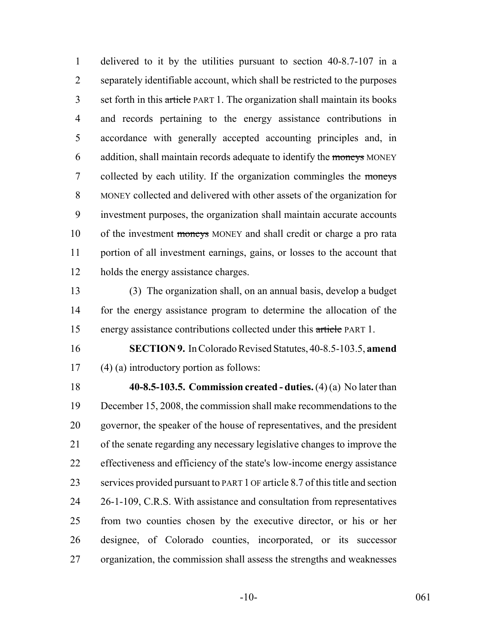delivered to it by the utilities pursuant to section 40-8.7-107 in a separately identifiable account, which shall be restricted to the purposes 3 set forth in this article PART 1. The organization shall maintain its books and records pertaining to the energy assistance contributions in accordance with generally accepted accounting principles and, in 6 addition, shall maintain records adequate to identify the moneys MONEY 7 collected by each utility. If the organization commingles the moneys MONEY collected and delivered with other assets of the organization for investment purposes, the organization shall maintain accurate accounts 10 of the investment moneys MONEY and shall credit or charge a pro rata portion of all investment earnings, gains, or losses to the account that holds the energy assistance charges.

 (3) The organization shall, on an annual basis, develop a budget for the energy assistance program to determine the allocation of the energy assistance contributions collected under this article PART 1.

 **SECTION 9.** In Colorado Revised Statutes, 40-8.5-103.5, **amend** (4) (a) introductory portion as follows:

 **40-8.5-103.5. Commission created - duties.** (4) (a) No later than December 15, 2008, the commission shall make recommendations to the governor, the speaker of the house of representatives, and the president of the senate regarding any necessary legislative changes to improve the effectiveness and efficiency of the state's low-income energy assistance services provided pursuant to PART 1 OF article 8.7 of this title and section 26-1-109, C.R.S. With assistance and consultation from representatives from two counties chosen by the executive director, or his or her designee, of Colorado counties, incorporated, or its successor organization, the commission shall assess the strengths and weaknesses